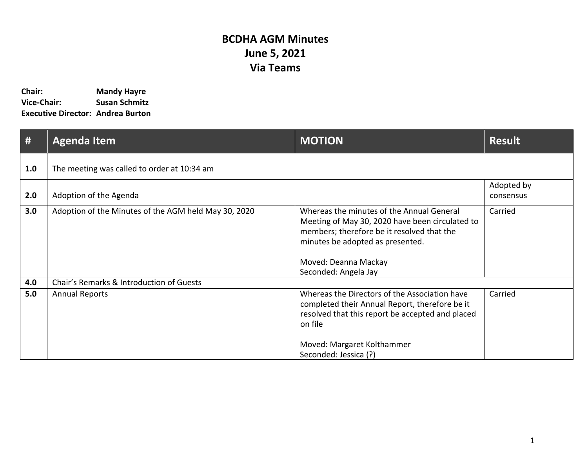## **BCDHA AGM Minutes June 5, 2021 Via Teams**

| Chair:                                   | <b>Mandy Hayre</b>   |
|------------------------------------------|----------------------|
| <b>Vice-Chair:</b>                       | <b>Susan Schmitz</b> |
| <b>Executive Director: Andrea Burton</b> |                      |

| #   | <b>Agenda Item</b>                                   | <b>MOTION</b>                                                                                                                                                                                                                  | <b>Result</b>           |
|-----|------------------------------------------------------|--------------------------------------------------------------------------------------------------------------------------------------------------------------------------------------------------------------------------------|-------------------------|
| 1.0 | The meeting was called to order at 10:34 am          |                                                                                                                                                                                                                                |                         |
| 2.0 | Adoption of the Agenda                               |                                                                                                                                                                                                                                | Adopted by<br>consensus |
| 3.0 | Adoption of the Minutes of the AGM held May 30, 2020 | Whereas the minutes of the Annual General<br>Meeting of May 30, 2020 have been circulated to<br>members; therefore be it resolved that the<br>minutes be adopted as presented.<br>Moved: Deanna Mackay<br>Seconded: Angela Jay | Carried                 |
| 4.0 | Chair's Remarks & Introduction of Guests             |                                                                                                                                                                                                                                |                         |
| 5.0 | <b>Annual Reports</b>                                | Whereas the Directors of the Association have<br>completed their Annual Report, therefore be it<br>resolved that this report be accepted and placed<br>on file<br>Moved: Margaret Kolthammer<br>Seconded: Jessica (?)          | Carried                 |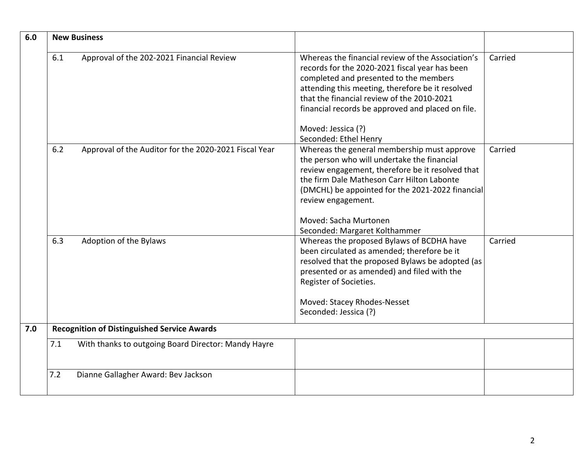| 6.0 |     | <b>New Business</b>                                   |                                                                                                                                                                                                                                                                                                                                                     |         |
|-----|-----|-------------------------------------------------------|-----------------------------------------------------------------------------------------------------------------------------------------------------------------------------------------------------------------------------------------------------------------------------------------------------------------------------------------------------|---------|
|     | 6.1 | Approval of the 202-2021 Financial Review             | Whereas the financial review of the Association's<br>records for the 2020-2021 fiscal year has been<br>completed and presented to the members<br>attending this meeting, therefore be it resolved<br>that the financial review of the 2010-2021<br>financial records be approved and placed on file.<br>Moved: Jessica (?)<br>Seconded: Ethel Henry | Carried |
|     | 6.2 | Approval of the Auditor for the 2020-2021 Fiscal Year | Whereas the general membership must approve<br>the person who will undertake the financial<br>review engagement, therefore be it resolved that<br>the firm Dale Matheson Carr Hilton Labonte<br>(DMCHL) be appointed for the 2021-2022 financial<br>review engagement.                                                                              | Carried |
|     |     |                                                       | Moved: Sacha Murtonen<br>Seconded: Margaret Kolthammer                                                                                                                                                                                                                                                                                              |         |
|     | 6.3 | Adoption of the Bylaws                                | Whereas the proposed Bylaws of BCDHA have<br>been circulated as amended; therefore be it<br>resolved that the proposed Bylaws be adopted (as<br>presented or as amended) and filed with the<br>Register of Societies.<br>Moved: Stacey Rhodes-Nesset<br>Seconded: Jessica (?)                                                                       | Carried |
| 7.0 |     | <b>Recognition of Distinguished Service Awards</b>    |                                                                                                                                                                                                                                                                                                                                                     |         |
|     | 7.1 | With thanks to outgoing Board Director: Mandy Hayre   |                                                                                                                                                                                                                                                                                                                                                     |         |
|     |     |                                                       |                                                                                                                                                                                                                                                                                                                                                     |         |
|     | 7.2 | Dianne Gallagher Award: Bev Jackson                   |                                                                                                                                                                                                                                                                                                                                                     |         |